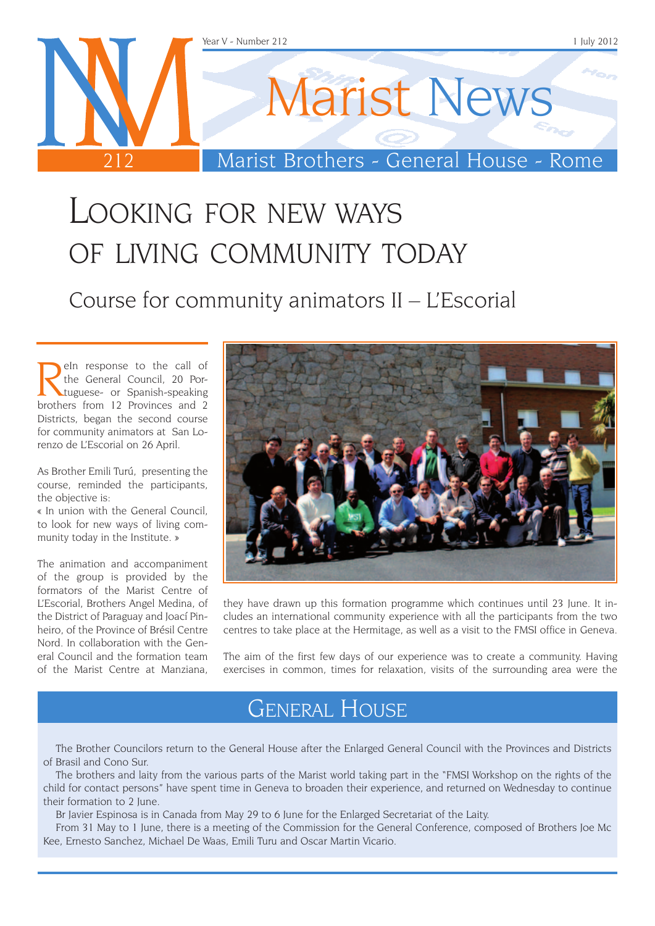

### Looking for new ways of living community today

Course for community animators II – L'Escorial

**Relative School School School School School School School School School School School School School School School School School School School School School School School School School School School School School School Sc** the General Council, 20 Portuguese- or Spanish-speaking brothers from 12 Provinces and 2 Districts, began the second course for community animators at San Lorenzo de L'Escorial on 26 April.

As Brother Emili Turú, presenting the course, reminded the participants, the objective is:

« In union with the General Council, to look for new ways of living community today in the Institute. »

The animation and accompaniment of the group is provided by the formators of the Marist Centre of L'Escorial, Brothers Angel Medina, of the District of Paraguay and Joací Pinheiro, of the Province of Brésil Centre Nord. In collaboration with the General Council and the formation team of the Marist Centre at Manziana,



they have drawn up this formation programme which continues until 23 June. It includes an international community experience with all the participants from the two centres to take place at the Hermitage, as well as a visit to the FMSI office in Geneva.

The aim of the first few days of our experience was to create a community. Having exercises in common, times for relaxation, visits of the surrounding area were the

#### General House

The Brother Councilors return to the General House after the Enlarged General Council with the Provinces and Districts of Brasil and Cono Sur.

The brothers and laity from the various parts of the Marist world taking part in the "FMSI Workshop on the rights of the child for contact persons" have spent time in Geneva to broaden their experience, and returned on Wednesday to continue their formation to 2 June.

Br Javier Espinosa is in Canada from May 29 to 6 June for the Enlarged Secretariat of the Laity.

From 31 May to 1 June, there is a meeting of the Commission for the General Conference, composed of Brothers Joe Mc Kee, Ernesto Sanchez, Michael De Waas, Emili Turu and Oscar Martin Vicario.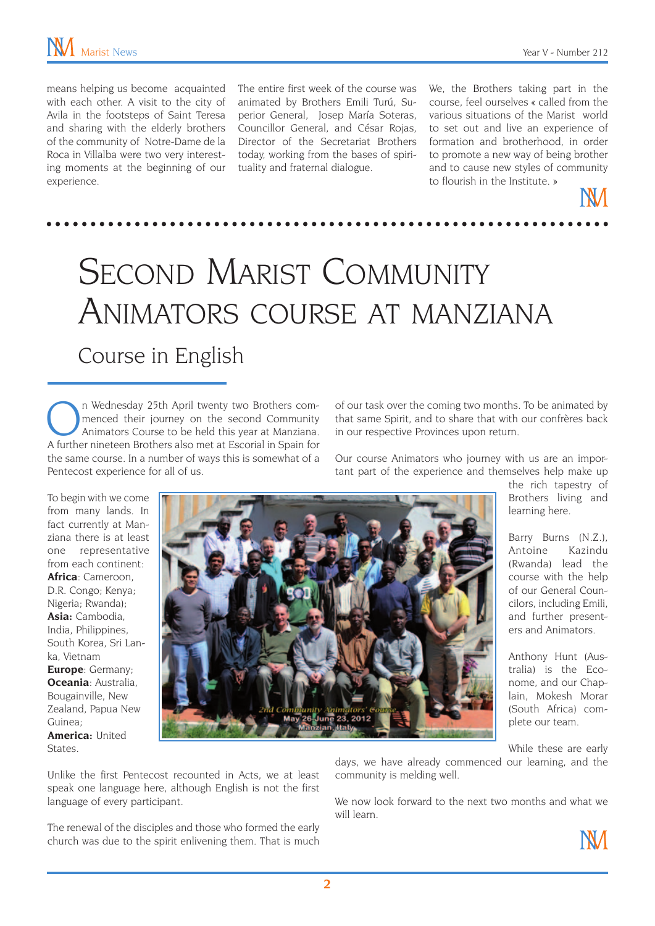means helping us become acquainted with each other. A visit to the city of Avila in the footsteps of Saint Teresa and sharing with the elderly brothers of the community of Notre-Dame de la Roca in Villalba were two very interesting moments at the beginning of our experience.

The entire first week of the course was animated by Brothers Emili Turú, Superior General, Josep María Soteras, Councillor General, and César Rojas, Director of the Secretariat Brothers today, working from the bases of spirituality and fraternal dialogue.

We, the Brothers taking part in the course, feel ourselves « called from the various situations of the Marist world to set out and live an experience of formation and brotherhood, in order to promote a new way of being brother and to cause new styles of community to flourish in the Institute. »



## SECOND MARIST COMMUNITY Animators course at manziana Course in English

n Wednesday 25th April twenty two Brothers commenced their journey on the second Community Animators Course to be held this year at Manziana. A further nineteen Brothers also met at Escorial in Spain for the same course. In a number of ways this is somewhat of a Pentecost experience for all of us.

of our task over the coming two months. To be animated by that same Spirit, and to share that with our confrères back in our respective Provinces upon return.

Our course Animators who journey with us are an important part of the experience and themselves help make up

> the rich tapestry of Brothers living and learning here.

Barry Burns (N.Z.), Antoine Kazindu (Rwanda) lead the course with the help of our General Councilors, including Emili, and further presenters and Animators.

Anthony Hunt (Australia) is the Econome, and our Chaplain, Mokesh Morar (South Africa) complete our team.

from many lands. In fact currently at Manziana there is at least one representative from each continent: **Africa**: Cameroon, D.R. Congo; Kenya; Nigeria; Rwanda); **Asia:** Cambodia, India, Philippines, South Korea, Sri Lanka, Vietnam **Europe**: Germany; **Oceania**: Australia, Bougainville, New Zealand, Papua New Guinea; **America:** United **States** 

To begin with we come



While these are early

Unlike the first Pentecost recounted in Acts, we at least speak one language here, although English is not the first language of every participant.

The renewal of the disciples and those who formed the early church was due to the spirit enlivening them. That is much days, we have already commenced our learning, and the community is melding well.

We now look forward to the next two months and what we will learn.

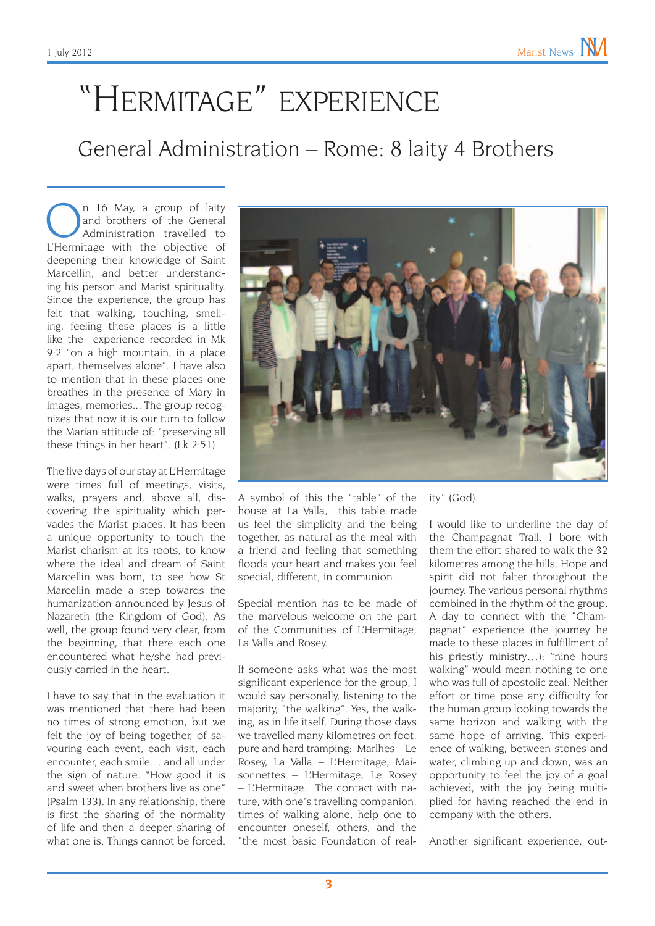# "Hermitage" experience General Administration – Rome: 8 laity 4 Brothers

n 16 May, a group of laity and brothers of the General Administration travelled to L'Hermitage with the objective of deepening their knowledge of Saint Marcellin, and better understanding his person and Marist spirituality. Since the experience, the group has felt that walking, touching, smelling, feeling these places is a little like the experience recorded in Mk 9:2 "on a high mountain, in a place apart, themselves alone". I have also to mention that in these places one breathes in the presence of Mary in images, memories... The group recognizes that now it is our turn to follow the Marian attitude of: "preserving all these things in her heart". (Lk 2:51)

The five days of our stay at L'Hermitage were times full of meetings, visits, walks, prayers and, above all, discovering the spirituality which pervades the Marist places. It has been a unique opportunity to touch the Marist charism at its roots, to know where the ideal and dream of Saint Marcellin was born, to see how St Marcellin made a step towards the humanization announced by Jesus of Nazareth (the Kingdom of God). As well, the group found very clear, from the beginning, that there each one encountered what he/she had previously carried in the heart.

I have to say that in the evaluation it was mentioned that there had been no times of strong emotion, but we felt the joy of being together, of savouring each event, each visit, each encounter, each smile… and all under the sign of nature. "How good it is and sweet when brothers live as one" (Psalm 133). In any relationship, there is first the sharing of the normality of life and then a deeper sharing of what one is. Things cannot be forced.



A symbol of this the "table" of the house at La Valla, this table made us feel the simplicity and the being together, as natural as the meal with a friend and feeling that something floods your heart and makes you feel special, different, in communion.

Special mention has to be made of the marvelous welcome on the part of the Communities of L'Hermitage, La Valla and Rosey.

If someone asks what was the most significant experience for the group, I would say personally, listening to the majority, "the walking". Yes, the walking, as in life itself. During those days we travelled many kilometres on foot, pure and hard tramping: Marlhes – Le Rosey, La Valla – L'Hermitage, Maisonnettes – L'Hermitage, Le Rosey – L'Hermitage. The contact with nature, with one's travelling companion, times of walking alone, help one to encounter oneself, others, and the "the most basic Foundation of real-

ity" (God).

I would like to underline the day of the Champagnat Trail. I bore with them the effort shared to walk the 32 kilometres among the hills. Hope and spirit did not falter throughout the journey. The various personal rhythms combined in the rhythm of the group. A day to connect with the "Champagnat" experience (the journey he made to these places in fulfillment of his priestly ministry…); "nine hours walking" would mean nothing to one who was full of apostolic zeal. Neither effort or time pose any difficulty for the human group looking towards the same horizon and walking with the same hope of arriving. This experience of walking, between stones and water, climbing up and down, was an opportunity to feel the joy of a goal achieved, with the joy being multiplied for having reached the end in company with the others.

Another significant experience, out-